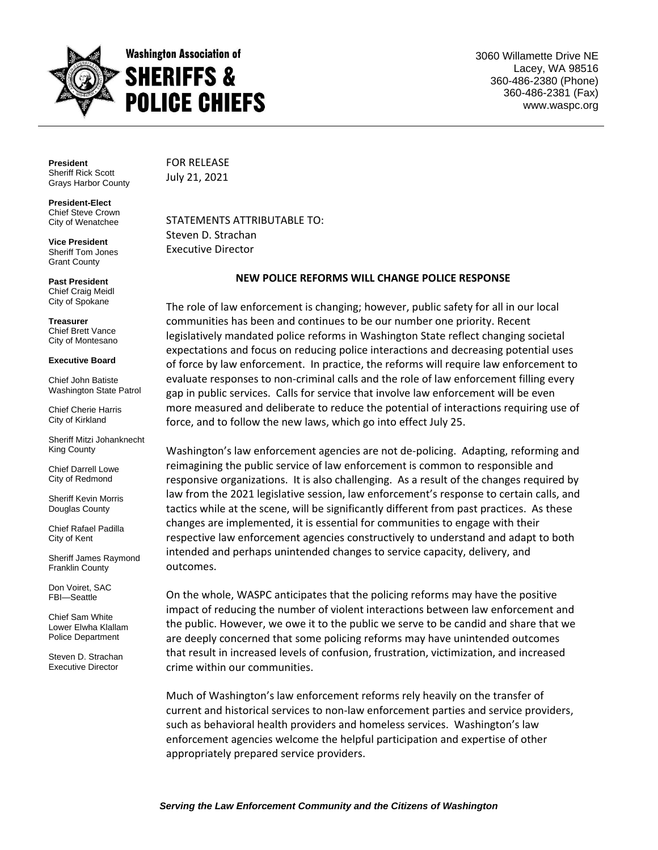

3060 Willamette Drive NE Lacey, WA 98516 360-486-2380 (Phone) 360-486-2381 (Fax) www.waspc.org

**President** Sheriff Rick Scott Grays Harbor County

**President-Elect** Chief Steve Crown City of Wenatchee

**Vice President** Sheriff Tom Jones Grant County

**Past President** Chief Craig Meidl City of Spokane

**Treasurer** Chief Brett Vance City of Montesano

## **Executive Board**

Chief John Batiste Washington State Patrol

Chief Cherie Harris City of Kirkland

Sheriff Mitzi Johanknecht King County

Chief Darrell Lowe City of Redmond

Sheriff Kevin Morris Douglas County

Chief Rafael Padilla City of Kent

Sheriff James Raymond Franklin County

Don Voiret, SAC FBI—Seattle

Chief Sam White Lower Elwha Klallam Police Department

Steven D. Strachan Executive Director

FOR RELEASE July 21, 2021

STATEMENTS ATTRIBUTABLE TO: Steven D. Strachan Executive Director

## **NEW POLICE REFORMS WILL CHANGE POLICE RESPONSE**

The role of law enforcement is changing; however, public safety for all in our local communities has been and continues to be our number one priority. Recent legislatively mandated police reforms in Washington State reflect changing societal expectations and focus on reducing police interactions and decreasing potential uses of force by law enforcement. In practice, the reforms will require law enforcement to evaluate responses to non-criminal calls and the role of law enforcement filling every gap in public services. Calls for service that involve law enforcement will be even more measured and deliberate to reduce the potential of interactions requiring use of force, and to follow the new laws, which go into effect July 25.

Washington's law enforcement agencies are not de-policing. Adapting, reforming and reimagining the public service of law enforcement is common to responsible and responsive organizations. It is also challenging. As a result of the changes required by law from the 2021 legislative session, law enforcement's response to certain calls, and tactics while at the scene, will be significantly different from past practices. As these changes are implemented, it is essential for communities to engage with their respective law enforcement agencies constructively to understand and adapt to both intended and perhaps unintended changes to service capacity, delivery, and outcomes.

On the whole, WASPC anticipates that the policing reforms may have the positive impact of reducing the number of violent interactions between law enforcement and the public. However, we owe it to the public we serve to be candid and share that we are deeply concerned that some policing reforms may have unintended outcomes that result in increased levels of confusion, frustration, victimization, and increased crime within our communities.

Much of Washington's law enforcement reforms rely heavily on the transfer of current and historical services to non-law enforcement parties and service providers, such as behavioral health providers and homeless services. Washington's law enforcement agencies welcome the helpful participation and expertise of other appropriately prepared service providers.